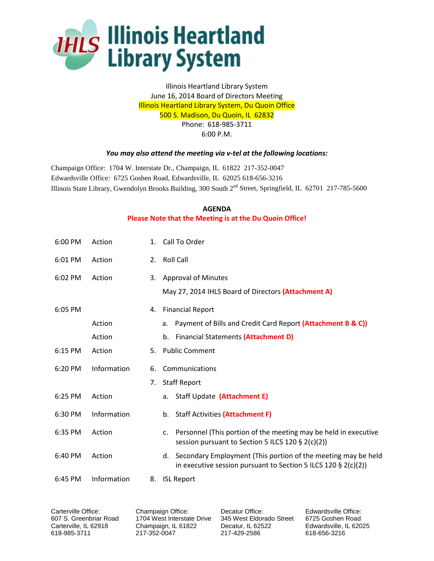

Illinois Heartland Library System June 16, 2014 Board of Directors Meeting Illinois Heartland Library System, Du Quoin Office 500 S. Madison, Du Quoin, IL 62832 Phone: 618-985-3711 6:00 P.M.

## *You may also attend the meeting via v-tel at the following locations:*

Champaign Office: 1704 W. Interstate Dr., Champaign, IL 61822 217-352-0047 Edwardsville Office: 6725 Goshen Road, Edwardsville, IL 62025 618-656-3216 Illinois State Library, Gwendolyn Brooks Building, 300 South 2<sup>nd</sup> Street, Springfield, IL 62701 217-785-5600

## **AGENDA**

## **Please Note that the Meeting is at the Du Quoin Office!**

| 6:00 PM | Action      | 1. | Call To Order                                                                                                                            |
|---------|-------------|----|------------------------------------------------------------------------------------------------------------------------------------------|
| 6:01 PM | Action      |    | 2. Roll Call                                                                                                                             |
| 6:02 PM | Action      | 3. | <b>Approval of Minutes</b>                                                                                                               |
|         |             |    | May 27, 2014 IHLS Board of Directors (Attachment A)                                                                                      |
| 6:05 PM |             | 4. | <b>Financial Report</b>                                                                                                                  |
|         | Action      |    | Payment of Bills and Credit Card Report (Attachment B & C))<br>a.                                                                        |
|         | Action      |    | Financial Statements (Attachment D)<br>b.                                                                                                |
| 6:15 PM | Action      | 5. | <b>Public Comment</b>                                                                                                                    |
|         |             |    |                                                                                                                                          |
| 6:20 PM | Information | 6. | Communications                                                                                                                           |
|         |             | 7. | <b>Staff Report</b>                                                                                                                      |
| 6:25 PM | Action      |    | a. Staff Update (Attachment E)                                                                                                           |
| 6:30 PM | Information |    | b. Staff Activities (Attachment F)                                                                                                       |
| 6:35 PM | Action      |    | Personnel (This portion of the meeting may be held in executive<br>$C_{\bullet}$<br>session pursuant to Section 5 ILCS 120 $\S$ 2(c)(2)) |
| 6:40 PM | Action      |    | Secondary Employment (This portion of the meeting may be held<br>d.<br>in executive session pursuant to Section 5 ILCS 120 $\S$ 2(c)(2)) |

Carterville Office: 607 S. Greenbriar Road Carterville, IL 62918 618-985-3711

Champaign Office: 1704 West Interstate Drive Champaign, IL 61822 217-352-0047

Decatur Office: 345 West Eldorado Street Decatur, IL 62522 217-429-2586

Edwardsville Office: 6725 Goshen Road Edwardsville, IL 62025 618-656-3216